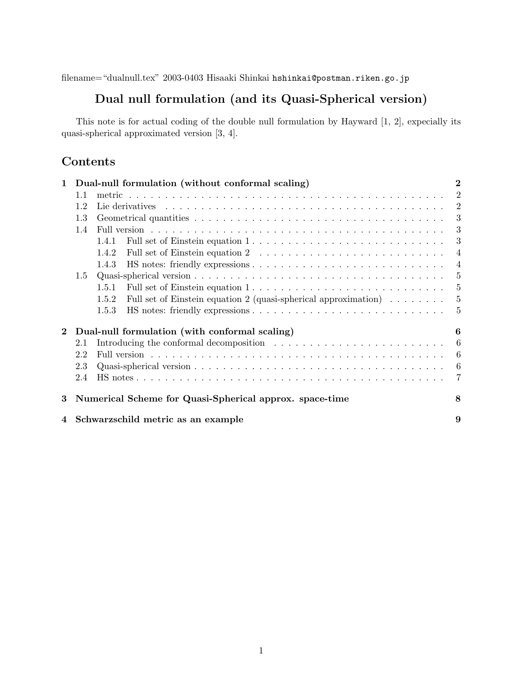filename="dualnull.tex" 2003-0403 Hisaaki Shinkai hshinkai@postman.riken.go.jp

## **Dual null formulation (and its Quasi-Spherical version)**

This note is for actual coding of the double null formulation by Hayward [1, 2], expecially its quasi-spherical approximated version [3, 4].

## **Contents**

| Dual-null formulation (without conformal scaling)<br>$\mathbf{1}$                                                                                                                                                                     |                                                         |        |                                                                               |  |  |  |   | $\bf{2}$       |
|---------------------------------------------------------------------------------------------------------------------------------------------------------------------------------------------------------------------------------------|---------------------------------------------------------|--------|-------------------------------------------------------------------------------|--|--|--|---|----------------|
|                                                                                                                                                                                                                                       | 1.1                                                     | metric |                                                                               |  |  |  |   | $\overline{2}$ |
|                                                                                                                                                                                                                                       | 1.2<br>1.3                                              |        |                                                                               |  |  |  |   | 2              |
|                                                                                                                                                                                                                                       |                                                         |        |                                                                               |  |  |  | 3 |                |
|                                                                                                                                                                                                                                       | 1.4                                                     |        |                                                                               |  |  |  |   | 3              |
|                                                                                                                                                                                                                                       |                                                         | 1.4.1  |                                                                               |  |  |  |   | 3              |
|                                                                                                                                                                                                                                       |                                                         | 1.4.2  |                                                                               |  |  |  |   | $\overline{4}$ |
|                                                                                                                                                                                                                                       |                                                         | 1.4.3  |                                                                               |  |  |  |   | $\overline{4}$ |
|                                                                                                                                                                                                                                       | 1.5                                                     |        |                                                                               |  |  |  |   | 5              |
|                                                                                                                                                                                                                                       |                                                         | 1.5.1  |                                                                               |  |  |  |   | 5              |
|                                                                                                                                                                                                                                       |                                                         | 1.5.2  | Full set of Einstein equation 2 (quasi-spherical approximation) $\dots \dots$ |  |  |  |   | 5              |
|                                                                                                                                                                                                                                       |                                                         | 1.5.3  |                                                                               |  |  |  |   | $\frac{5}{2}$  |
| Dual-null formulation (with conformal scaling)<br>$\bf{2}$                                                                                                                                                                            |                                                         |        |                                                                               |  |  |  |   | 6              |
| Introducing the conformal decomposition enterstanding in the set of the conformal decomposition enterstanding in the set of the set of the set of the set of the set of the set of the set of the set of the set of the set of<br>2.1 |                                                         |        |                                                                               |  |  |  |   | 6              |
|                                                                                                                                                                                                                                       | 2.2                                                     |        |                                                                               |  |  |  |   | 6              |
|                                                                                                                                                                                                                                       | 2.3                                                     |        |                                                                               |  |  |  |   | 6              |
|                                                                                                                                                                                                                                       | 2.4                                                     |        |                                                                               |  |  |  |   | 7              |
| 3                                                                                                                                                                                                                                     | Numerical Scheme for Quasi-Spherical approx. space-time |        |                                                                               |  |  |  |   | 8              |
|                                                                                                                                                                                                                                       | Schwarzschild metric as an example<br>4                 |        |                                                                               |  |  |  | 9 |                |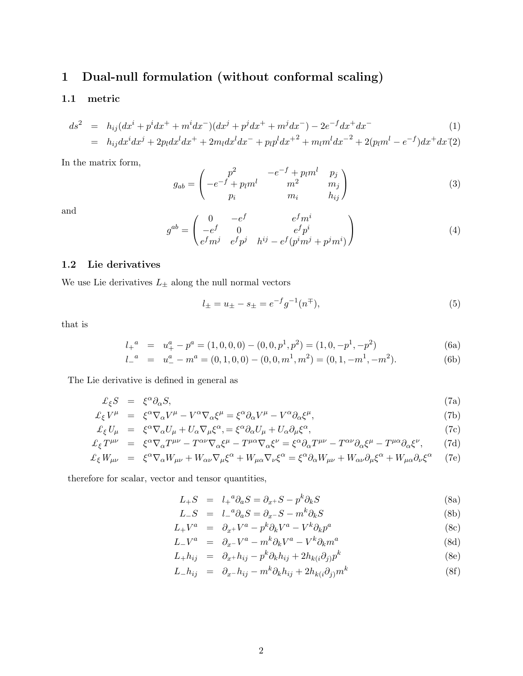# **1 Dual-null formulation (without conformal scaling)**

## **1.1 metric**

$$
ds^{2} = h_{ij}(dx^{i} + p^{i}dx^{+} + m^{i}dx^{-})(dx^{j} + p^{j}dx^{+} + m^{j}dx^{-}) - 2e^{-f}dx^{+}dx^{-}
$$
\n(1)

$$
= h_{ij}dx^{i}dx^{j} + 2p_{l}dx^{l}dx^{+} + 2m_{l}dx^{l}dx^{-} + p_{l}p^{l}dx^{+2} + m_{l}m^{l}dx^{-2} + 2(p_{l}m^{l} - e^{-f})dx^{+}dx^{(2)}
$$

In the matrix form,

$$
g_{ab} = \begin{pmatrix} p^2 & -e^{-f} + p_l m^l & p_j \\ -e^{-f} + p_l m^l & m^2 & m_j \\ p_i & m_i & h_{ij} \end{pmatrix}
$$
 (3)

and

$$
g^{ab} = \begin{pmatrix} 0 & -e^f & e^f m^i \\ -e^f & 0 & e^f p^i \\ e^f m^j & e^f p^j & h^{ij} - e^f (p^i m^j + p^j m^i) \end{pmatrix}
$$
 (4)

### **1.2 Lie derivatives**

We use Lie derivatives  $L_{\pm}$  along the null normal vectors

$$
l_{\pm} = u_{\pm} - s_{\pm} = e^{-f}g^{-1}(n^{\mp}),\tag{5}
$$

that is

$$
l_{+}^{a} = u_{+}^{a} - p^{a} = (1,0,0,0) - (0,0,p^{1},p^{2}) = (1,0,-p^{1},-p^{2})
$$
\n(6a)

$$
l_{-}^{a} = u_{-}^{a} - m^{a} = (0, 1, 0, 0) - (0, 0, m^{1}, m^{2}) = (0, 1, -m^{1}, -m^{2}).
$$
 (6b)

The Lie derivative is defined in general as

$$
\mathcal{L}_{\xi}S = \xi^{\alpha}\partial_{\alpha}S,\tag{7a}
$$

$$
\mathcal{L}_{\xi}V^{\mu} = \xi^{\alpha}\nabla_{\alpha}V^{\mu} - V^{\alpha}\nabla_{\alpha}\xi^{\mu} = \xi^{\alpha}\partial_{\alpha}V^{\mu} - V^{\alpha}\partial_{\alpha}\xi^{\mu},\tag{7b}
$$

$$
\mathcal{L}_{\xi} U_{\mu} = \xi^{\alpha} \nabla_{\alpha} U_{\mu} + U_{\alpha} \nabla_{\mu} \xi^{\alpha} = \xi^{\alpha} \partial_{\alpha} U_{\mu} + U_{\alpha} \partial_{\mu} \xi^{\alpha}, \tag{7c}
$$

$$
\mathcal{L}_{\xi}T^{\mu\nu} = \xi^{\alpha}\nabla_{\alpha}T^{\mu\nu} - T^{\alpha\nu}\nabla_{\alpha}\xi^{\mu} - T^{\mu\alpha}\nabla_{\alpha}\xi^{\nu} = \xi^{\alpha}\partial_{\alpha}T^{\mu\nu} - T^{\alpha\nu}\partial_{\alpha}\xi^{\mu} - T^{\mu\alpha}\partial_{\alpha}\xi^{\nu},\tag{7d}
$$

$$
\mathcal{L}_{\xi} W_{\mu\nu} = \xi^{\alpha} \nabla_{\alpha} W_{\mu\nu} + W_{\alpha\nu} \nabla_{\mu} \xi^{\alpha} + W_{\mu\alpha} \nabla_{\nu} \xi^{\alpha} = \xi^{\alpha} \partial_{\alpha} W_{\mu\nu} + W_{\alpha\nu} \partial_{\mu} \xi^{\alpha} + W_{\mu\alpha} \partial_{\nu} \xi^{\alpha} \tag{7e}
$$

therefore for scalar, vector and tensor quantities,

$$
L_{+}S = l_{+}^{a}\partial_{a}S = \partial_{x^{+}}S - p^{k}\partial_{k}S
$$
\n(8a)

$$
L_{-}S = L_{-}^{a}\partial_{a}S = \partial_{x^{-}}S - m^{k}\partial_{k}S
$$
\n(8b)

$$
L_{+}V^{a} = \partial_{x^{+}}V^{a} - p^{k}\partial_{k}V^{a} - V^{k}\partial_{k}p^{a}
$$
\n(8c)

$$
L_{-}V^{a} = \partial_{x^{-}}V^{a} - m^{k}\partial_{k}V^{a} - V^{k}\partial_{k}m^{a}
$$
\n(8d)

$$
L_{+}h_{ij} = \partial_{x} + h_{ij} - p^{k}\partial_{k}h_{ij} + 2h_{k(i}\partial_{j)}p^{k}
$$
\n(8e)

$$
L_{-}h_{ij} = \partial_{x^{-}}h_{ij} - m^{k}\partial_{k}h_{ij} + 2h_{k(i}\partial_{j)}m^{k}
$$
\n(8f)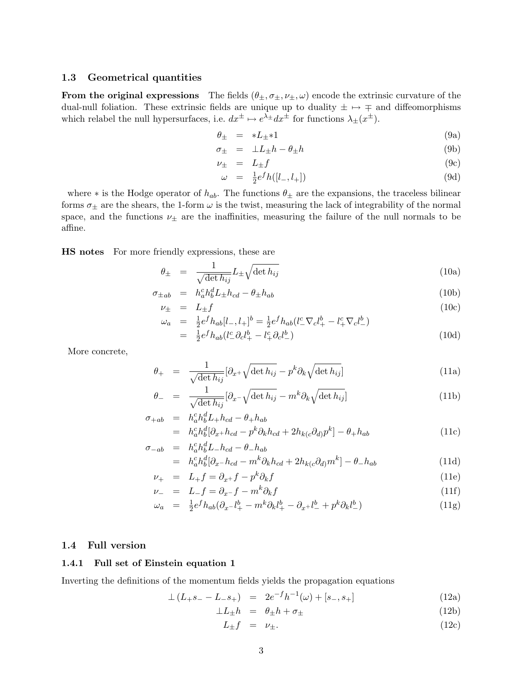#### **1.3 Geometrical quantities**

**From the original expressions** The fields  $(\theta_{\pm}, \sigma_{\pm}, \nu_{\pm}, \omega)$  encode the extrinsic curvature of the dual-null foliation. These extrinsic fields are unique up to duality  $\pm \mapsto \mp$  and diffeomorphisms which relabel the null hypersurfaces, i.e.  $dx^{\pm} \mapsto e^{\lambda_{\pm}} dx^{\pm}$  for functions  $\lambda_{\pm}(x^{\pm})$ .

$$
\theta_{\pm} = *L_{\pm} *1 \tag{9a}
$$

$$
\sigma_{\pm} = \pm L_{\pm} h - \theta_{\pm} h \tag{9b}
$$

$$
\nu_{\pm} = L_{\pm} f \tag{9c}
$$

$$
\omega = \frac{1}{2} e^f h([l_-, l_+]) \tag{9d}
$$

where  $*$  is the Hodge operator of  $h_{ab}$ . The functions  $\theta_{\pm}$  are the expansions, the traceless bilinear forms  $\sigma_{\pm}$  are the shears, the 1-form  $\omega$  is the twist, measuring the lack of integrability of the normal space, and the functions  $\nu_{\pm}$  are the inaffinities, measuring the failure of the null normals to be affine.

**HS notes** For more friendly expressions, these are

$$
\theta_{\pm} = \frac{1}{\sqrt{\det h_{ij}}} L_{\pm} \sqrt{\det h_{ij}} \tag{10a}
$$

$$
\sigma_{\pm ab} = h_a^c h_b^d L_{\pm} h_{cd} - \theta_{\pm} h_{ab} \tag{10b}
$$

$$
\nu_{\pm} = L_{\pm}f
$$
\n
$$
\omega_a = \frac{1}{2}e^f h_{ab}[l_-, l_+]^b = \frac{1}{2}e^f h_{ab}(l_-^c \nabla_c l_+^b - l_+^c \nabla_c l_-^b)
$$
\n(10c)

$$
= \frac{1}{2}e^{f}h_{ab}(l_{-}^{c}\partial_{c}l_{+}^{b} - l_{+}^{c}\partial_{c}l_{-}^{b})
$$
\n(10d)

More concrete,

$$
\theta_{+} = \frac{1}{\sqrt{\det h_{ij}}} [\partial_{x^{+}} \sqrt{\det h_{ij}} - p^{k} \partial_{k} \sqrt{\det h_{ij}}]
$$
\n(11a)

$$
\theta_{-} = \frac{1}{\sqrt{\det h_{ij}}} [\partial_{x^{-}} \sqrt{\det h_{ij}} - m^{k} \partial_{k} \sqrt{\det h_{ij}}]
$$
\n(11b)

$$
\begin{array}{rcl}\n\sigma_{+ab} & = & h_a^c h_b^d L_+ h_{cd} - \theta_+ h_{ab} \\
& = & h_a^c h_b^d [\partial_{x^+} h_{cd} - p^k \partial_k h_{cd} + 2h_{k(c} \partial_{d)} p^k] - \theta_+ h_{ab}\n\end{array} \tag{11c}
$$

$$
\begin{array}{rcl}\n\sigma_{-ab} & = & h_a^c h_b^d L_- h_{cd} - \theta_- h_{ab} \\
& = & h_a^c h_b^d [\partial_x - h_{cd} - m^k \partial_k h_{cd} + 2h_{k(c} \partial_{d)} m^k] - \theta_- h_{ab}\n\end{array} \tag{11d}
$$

$$
\nu_{+} = L_{+}f = \partial_{x^{+}}f - p^{k}\partial_{k}f \tag{11e}
$$

$$
\nu_{-} = L_{-}f = \partial_{x^{-}}f - m^{k}\partial_{k}f \tag{11f}
$$

$$
L = \frac{1}{2} \int_{-\infty}^{\infty} -\frac{1}{2} \int_{-\infty}^{\infty} \frac{1}{2} \int_{-\infty}^{\infty} \frac{1}{2} \int_{-\infty}^{\infty} \frac{1}{2} \int_{-\infty}^{\infty} \frac{1}{2} \int_{-\infty}^{\infty} \frac{1}{2} \int_{-\infty}^{\infty} \frac{1}{2} \int_{-\infty}^{\infty} \frac{1}{2} \int_{-\infty}^{\infty} \frac{1}{2} \int_{-\infty}^{\infty} \frac{1}{2} \int_{-\infty}^{\infty} \frac{1}{2} \int_{-\infty}^{\infty} \frac{1}{2} \int_{-\infty}^{\infty} \frac{1}{2} \int_{-\infty}^{\infty} \frac{1}{2} \int_{-\infty}^{\infty} \frac{1}{2} \int_{-\infty}^{\infty} \frac{1}{2} \int_{-\infty}^{\infty} \frac{1}{2} \int_{-\infty}^{\infty} \frac{1}{2} \int_{-\infty}^{\infty} \frac{1}{2} \int_{-\infty}^{\infty} \frac{1}{2} \int_{-\infty}^{\infty} \frac{1}{2} \int_{-\infty}^{\infty} \frac{1}{2} \int_{-\infty}^{\infty} \frac{1}{2} \int_{-\infty}^{\infty} \frac{1}{2} \int_{-\infty}^{\infty} \frac{1}{2} \int_{-\infty}^{\infty} \frac{1}{2} \int_{-\infty}^{\infty} \frac{1}{2} \int_{-\infty}^{\infty} \frac{1}{2} \int_{-\infty}^{\infty} \frac{1}{2} \int_{-\infty}^{\infty} \frac{1}{2} \int_{-\infty}^{\infty} \frac{1}{2} \int_{-\infty}^{\infty} \frac{1}{2} \int_{-\infty}^{\infty} \frac{1}{2} \int_{-\infty}^{\infty} \frac{1}{2} \int_{-\infty}^{\infty} \frac{1}{2} \int_{-\infty}^{\infty} \frac{1}{2} \int_{-\infty}^{\infty} \frac{1}{2} \int_{-\infty}^{\infty} \frac{1}{2} \int_{-\infty}^{\infty} \frac{1}{2} \int_{-\infty}^
$$

$$
\omega_a = \frac{1}{2} e^f h_{ab} (\partial_{x} - l^b_+ - m^k \partial_k l^b_+ - \partial_{x} + l^b_- + p^k \partial_k l^b_-)
$$
(11g)

#### **1.4 Full version**

#### **1.4.1 Full set of Einstein equation 1**

Inverting the definitions of the momentum fields yields the propagation equations

$$
\perp (L_{+}s_{-}-L_{-}s_{+}) = 2e^{-f}h^{-1}(\omega) + [s_{-}, s_{+}]
$$
\n(12a)

$$
\perp L_{\pm} h = \theta_{\pm} h + \sigma_{\pm} \tag{12b}
$$

$$
L_{\pm}f = \nu_{\pm}.\tag{12c}
$$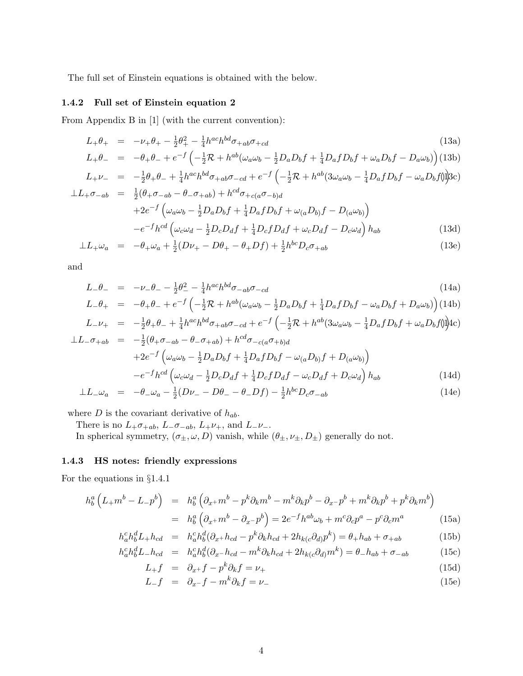The full set of Einstein equations is obtained with the below.

#### **1.4.2 Full set of Einstein equation 2**

From Appendix B in [1] (with the current convention):

$$
L_{+} \theta_{+} = -\nu_{+} \theta_{+} - \frac{1}{2} \theta_{+}^{2} - \frac{1}{4} h^{ac} h^{bd} \sigma_{+ab} \sigma_{+cd}
$$
\n(13a)

$$
L_{+}\theta_{-} = -\theta_{+}\theta_{-} + e^{-f}\left(-\frac{1}{2}\mathcal{R} + h^{ab}(\omega_{a}\omega_{b} - \frac{1}{2}D_{a}D_{b}f + \frac{1}{4}D_{a}fD_{b}f + \omega_{a}D_{b}f - D_{a}\omega_{b}\right)
$$
(13b)

$$
L_{+}\nu_{-} = -\frac{1}{2}\theta_{+}\theta_{-} + \frac{1}{4}h^{ac}h^{bd}\sigma_{+ab}\sigma_{-cd} + e^{-f}\left(-\frac{1}{2}\mathcal{R} + h^{ab}(3\omega_{a}\omega_{b} - \frac{1}{4}D_{a}fD_{b}f - \omega_{a}D_{b}f)\right)
$$
  

$$
L_{+}\sigma_{-} = \frac{1}{2}(\theta_{+}\sigma_{-}) - \theta_{-}\sigma_{+}) + h^{cd}\sigma_{+}(\sigma_{-})
$$

$$
\begin{aligned}\n\mathcal{L}L_{+}\sigma_{-ab} &= \frac{1}{2}(\theta_{+}\sigma_{-ab} - \theta_{-}\sigma_{+ab}) + h^{\alpha a}\sigma_{+c(a}\sigma_{-b)d} \\
&\quad + 2e^{-f} \left(\omega_{a}\omega_{b} - \frac{1}{2}D_{a}D_{b}f + \frac{1}{4}D_{a}fD_{b}f + \omega_{(a}D_{b)}f - D_{(a}\omega_{b)}\right) \\
&\quad - e^{-f}h^{cd} \left(\omega_{c}\omega_{d} - \frac{1}{2}D_{c}D_{d}f + \frac{1}{4}D_{c}fD_{d}f + \omega_{c}D_{d}f - D_{c}\omega_{d}\right)h_{ab}\n\end{aligned} \tag{13d}
$$

$$
\perp L_{+}\omega_{a} = -\theta_{+}\omega_{a} + \frac{1}{2}(D\nu_{+} - D\theta_{+} - \theta_{+}Df) + \frac{1}{2}h^{bc}D_{c}\sigma_{+ab}
$$
\n(13e)

and

$$
L_{-}\theta_{-} = -\nu_{-}\theta_{-} - \frac{1}{2}\theta_{-}^{2} - \frac{1}{4}h^{ac}h^{bd}\sigma_{-ab}\sigma_{-cd}
$$
\n
$$
L_{-}\theta_{-} = \theta_{-}\theta_{-} + \frac{-f}{2} \left( \frac{1}{2} \mathcal{R} + k \phi(\cdot, \cdot, \cdot) \right) \left( \frac{1}{2} \mathcal{R} \right)
$$
\n
$$
L_{-}\theta_{-} = \frac{1}{2} \theta_{-}^{2} - \frac{1}{4} h^{ac} h^{bd} \sigma_{-ab} \sigma_{-cd}
$$
\n
$$
L_{-}\theta_{-} = \frac{1}{2} \theta_{-}^{2} - \frac{1}{4} h^{ac} h^{bd} \sigma_{-ab} \sigma_{-cd}
$$
\n
$$
(14a)
$$

$$
L_{-}\theta_{+} = -\theta_{+}\theta_{-} + e^{-f} \left( -\frac{1}{2}\mathcal{R} + h^{ab}(\omega_{a}\omega_{b} - \frac{1}{2}D_{a}D_{b}f + \frac{1}{4}D_{a}fD_{b}f - \omega_{a}D_{b}f + D_{a}\omega_{b} \right) (14b)
$$
  
\n
$$
L_{-}\nu_{+} = -\frac{1}{2}\theta_{+}\theta_{-} + \frac{1}{2}h^{ac}h^{bd}\sigma_{+cb}\sigma_{-cd} + e^{-f} \left( -\frac{1}{2}\mathcal{R} + h^{ab}(3\omega_{c}\omega_{b} - \frac{1}{2}D_{a}fD_{b}f + \omega_{c}D_{b}f^{a}\right) d\omega_{c}
$$

$$
L_{-}\nu_{+} = -\frac{1}{2}\theta_{+}\theta_{-} + \frac{1}{4}h^{ac}h^{bd}\sigma_{+ab}\sigma_{-cd} + e^{-f}\left(-\frac{1}{2}\mathcal{R} + h^{ab}(3\omega_{a}\omega_{b} - \frac{1}{4}D_{a}fD_{b}f + \omega_{a}D_{b}f)\right)Ac
$$
  
\n
$$
\perp L_{-}\sigma_{+ab} = -\frac{1}{2}(\theta_{+}\sigma_{-ab} - \theta_{-}\sigma_{+ab}) + h^{cd}\sigma_{-c(a}\sigma_{+b)d}
$$
  
\n
$$
+2e^{-f}\left(\omega_{a}\omega_{b} - \frac{1}{2}D_{a}D_{b}f + \frac{1}{4}D_{a}fD_{b}f - \omega_{(a}D_{b)}f + D_{(a}\omega_{b)}\right)
$$
  
\n
$$
-e^{-f}h^{cd}\left(\omega_{c}\omega_{d} - \frac{1}{2}D_{c}D_{d}f + \frac{1}{4}D_{c}fD_{d}f - \omega_{c}D_{d}f + D_{c}\omega_{d}\right)h_{ab}
$$
 (14d)

$$
\perp L_{-\omega_a} = -\theta_{-\omega_a} - \frac{1}{2}(D\nu_{-} - D\theta_{-} - \theta_{-}Df) - \frac{1}{2}h^{bc}D_c\sigma_{-ab}
$$
\n(14e)

where D is the covariant derivative of  $h_{ab}$ .

There is no  $L_+\sigma_{+ab}$ ,  $L_-\sigma_{-ab}$ ,  $L_+\nu_+$ , and  $L_-\nu_-$ .

In spherical symmetry,  $(\sigma_{\pm}, \omega, D)$  vanish, while  $(\theta_{\pm}, \nu_{\pm}, D_{\pm})$  generally do not.

## **1.4.3 HS notes: friendly expressions**

For the equations in §1.4.1

$$
h_b^a \left( L_+ m^b - L_- p^b \right) = h_b^a \left( \partial_{x^+} m^b - p^k \partial_k m^b - m^k \partial_k p^b - \partial_{x^-} p^b + m^k \partial_k p^b + p^k \partial_k m^b \right)
$$

$$
= h_b^a \left( \partial_{x^+} m^b - \partial_{x^-} p^b \right) = 2e^{-f} h^{ab} \omega_b + m^c \partial_c p^a - p^c \partial_c m^a \tag{15a}
$$

$$
h_a^c h_b^d L_+ h_{cd} = h_a^c h_b^d (\partial_{x^+} h_{cd} - p^k \partial_k h_{cd} + 2h_{k(c} \partial_{d)} p^k) = \theta_+ h_{ab} + \sigma_{+ab} \tag{15b}
$$

$$
h_a^c h_b^d L - h_{cd} = h_a^c h_b^d (\partial_x - h_{cd} - m^k \partial_k h_{cd} + 2h_{k(c} \partial_d m^k) = \theta - h_{ab} + \sigma_{-ab}
$$
(15c)

$$
L_{+}f = \partial_{x^{+}}f - p^{k}\partial_{k}f = \nu_{+} \tag{15d}
$$

$$
L_{-}f = \partial_{x^{-}}f - m^{k}\partial_{k}f = \nu_{-}
$$
\n(15e)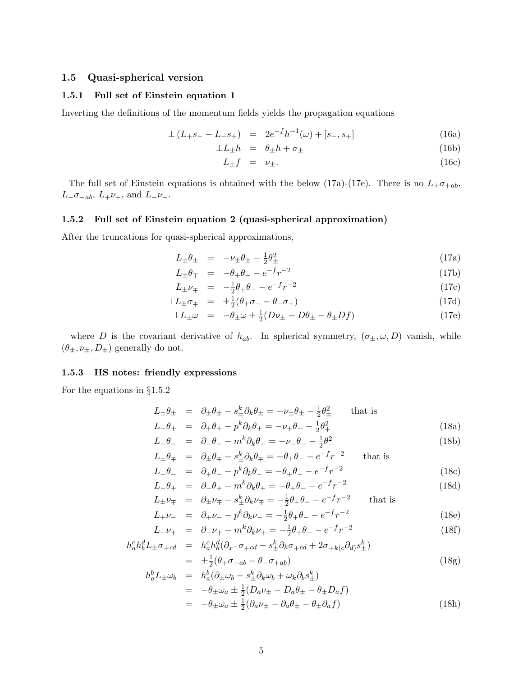#### **1.5 Quasi-spherical version**

#### **1.5.1 Full set of Einstein equation 1**

Inverting the definitions of the momentum fields yields the propagation equations

$$
\perp (L_{+}s_{-}-L_{-}s_{+}) = 2e^{-f}h^{-1}(\omega) + [s_{-}, s_{+}]
$$
\n(16a)

$$
\perp L_{\pm} h = \theta_{\pm} h + \sigma_{\pm} \tag{16b}
$$

$$
L_{\pm}f = \nu_{\pm}.\tag{16c}
$$

The full set of Einstein equations is obtained with the below (17a)-(17e). There is no  $L_{+}\sigma_{+ab}$ ,  $L_-\sigma_{-ab}$ ,  $L_+\nu_+$ , and  $L_-\nu_-$ .

#### **1.5.2 Full set of Einstein equation 2 (quasi-spherical approximation)**

After the truncations for quasi-spherical approximations,

$$
L_{\pm}\theta_{\pm} = -\nu_{\pm}\theta_{\pm} - \frac{1}{2}\theta_{\pm}^2 \tag{17a}
$$

$$
L_{\pm}\theta_{\mp} = -\theta_{+}\theta_{-} - e^{-f}r^{-2}
$$
\n(17b)

$$
L_{\pm} \nu_{\mp} = -\frac{1}{2}\theta_{+}\theta_{-} - e^{-f}r^{-2}
$$
\n(17c)

$$
\perp L_{\pm} \sigma_{\mp} = \pm \frac{1}{2} (\theta_{+} \sigma_{-} - \theta_{-} \sigma_{+}) \tag{17d}
$$

$$
\perp L_{\pm} \omega = -\theta_{\pm} \omega \pm \frac{1}{2} (D\nu_{\pm} - D\theta_{\pm} - \theta_{\pm} Df) \tag{17e}
$$

where D is the covariant derivative of  $h_{ab}$ . In spherical symmetry,  $(\sigma_{\pm}, \omega, D)$  vanish, while  $(\theta_{\pm}, \nu_{\pm}, D_{\pm})$  generally do not.

#### **1.5.3 HS notes: friendly expressions**

For the equations in §1.5.2

$$
L_{\pm}\theta_{\pm} = \partial_{\pm}\theta_{\pm} - s_{\pm}^{k}\partial_{k}\theta_{\pm} = -\nu_{\pm}\theta_{\pm} - \frac{1}{2}\theta_{\pm}^{2} \quad \text{that is}
$$
  
\n
$$
L_{+}\theta_{+} = \partial_{+}\theta_{+} - p^{k}\partial_{k}\theta_{+} = -\nu_{+}\theta_{+} - \frac{1}{2}\theta_{+}^{2} \quad (18a)
$$

$$
L_{-}\theta_{-} = \partial_{-}\theta_{-} - m^{k}\partial_{k}\theta_{-} = -\nu_{-}\theta_{-} - \frac{1}{2}\theta_{-}^{2}
$$
\n(18b)

$$
L_{\pm}\theta_{\mp} = \partial_{\pm}\theta_{\mp} - s_{\pm}^{k}\partial_{k}\theta_{\mp} = -\theta_{+}\theta_{-} - e^{-f}r^{-2} \quad \text{that is}
$$
  

$$
L_{\pm}\theta = \partial_{\pm}\theta - r_{\pm}^{k}\partial_{k}\theta_{\mp} = -\theta_{\pm}\theta - e^{-f}r^{-2} \quad (18c)
$$

$$
L_{+} \theta_{+} = \partial_{-} \theta_{+} - m^{k} \partial_{k} \theta_{+} = -\theta_{+} \theta_{-} - e^{-} r^{-2}
$$
(18d)

$$
L_{\pm} \nu_{\mp} = \partial_{\pm} \nu_{\mp} - s_{\pm}^k \partial_k \nu_{\mp} = -\frac{1}{2} \theta_{+} \theta_{-} - e^{-f} r^{-2} \quad \text{that is}
$$

$$
L_{+}\nu_{-} = \partial_{+}\nu_{-} - p^{k}\partial_{k}\nu_{-} = -\frac{1}{2}\theta_{+}\theta_{-} - e^{-f}r^{-2}
$$
(18e)

$$
L_{-}\nu_{+} = \partial_{-}\nu_{+} - m^{k}\partial_{k}\nu_{+} = -\frac{1}{2}\theta_{+}\theta_{-} - e^{-f}r^{-2}
$$
\n(18f)

$$
h_a^c h_b^d L_{\pm} \sigma_{\mp cd} = h_a^c h_b^d (\partial_{x^-} \sigma_{\mp cd} - s_{\pm}^k \partial_k \sigma_{\mp cd} + 2 \sigma_{\mp k(c} \partial_d) s_{\pm}^k)
$$
  
=  $\pm \frac{1}{2} (\theta_+ \sigma_{-ab} - \theta_- \sigma_{+ab})$  (18g)

$$
h_a^b L_{\pm} \omega_b = h_a^b (\partial_{\pm} \omega_b - s_{\pm}^k \partial_k \omega_b + \omega_k \partial_b s_{\pm}^k)
$$
  
= 
$$
-\theta_{\pm} \omega_a \pm \frac{1}{2} (D_a \nu_{\pm} - D_a \theta_{\pm} - \theta_{\pm} D_a f)
$$
  
= 
$$
-\theta_{\pm} \omega_a \pm \frac{1}{2} (\partial_a \nu_{\pm} - \partial_a \theta_{\pm} - \theta_{\pm} \partial_a f)
$$
(18h)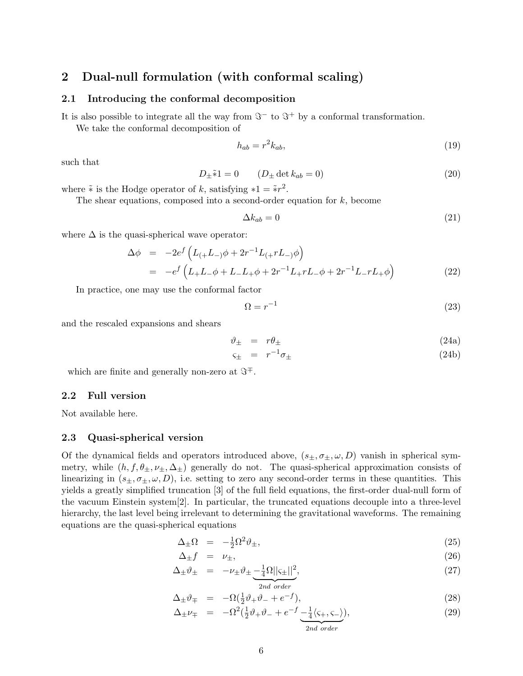## **2 Dual-null formulation (with conformal scaling)**

#### **2.1 Introducing the conformal decomposition**

It is also possible to integrate all the way from  $\Im^{-}$  to  $\Im^{+}$  by a conformal transformation.

We take the conformal decomposition of

$$
h_{ab} = r^2 k_{ab},\tag{19}
$$

such that

$$
D_{\pm}\tilde{*}1 = 0 \qquad (D_{\pm} \det k_{ab} = 0)
$$
\n
$$
(20)
$$

where  $\tilde∗$  is the Hodge operator of k, satisfying  $*1 = \tilde{*}r^2$ .

The shear equations, composed into a second-order equation for  $k$ , become

$$
\Delta k_{ab} = 0 \tag{21}
$$

where  $\Delta$  is the quasi-spherical wave operator:

$$
\Delta \phi = -2e^f \left( L_{(+}L_{-})\phi + 2r^{-1}L_{(+}rL_{-})\phi \right)
$$
  
= 
$$
-e^f \left( L_{+}L_{-}\phi + L_{-}L_{+}\phi + 2r^{-1}L_{+}rL_{-}\phi + 2r^{-1}L_{-}rL_{+}\phi \right)
$$
 (22)

In practice, one may use the conformal factor

$$
\Omega = r^{-1} \tag{23}
$$

and the rescaled expansions and shears

$$
\vartheta_{\pm} = r\theta_{\pm} \tag{24a}
$$

$$
\varsigma_{\pm} = r^{-1} \sigma_{\pm} \tag{24b}
$$

which are finite and generally non-zero at  $\Im^+$ .

### **2.2 Full version**

Not available here.

#### **2.3 Quasi-spherical version**

Of the dynamical fields and operators introduced above,  $(s_{\pm}, \sigma_{\pm}, \omega, D)$  vanish in spherical symmetry, while  $(h, f, \theta_{\pm}, \nu_{\pm}, \Delta_{\pm})$  generally do not. The quasi-spherical approximation consists of linearizing in  $(s_{\pm}, \sigma_{\pm}, \omega, D)$ , i.e. setting to zero any second-order terms in these quantities. This yields a greatly simplified truncation [3] of the full field equations, the first-order dual-null form of the vacuum Einstein system[2]. In particular, the truncated equations decouple into a three-level hierarchy, the last level being irrelevant to determining the gravitational waveforms. The remaining equations are the quasi-spherical equations

$$
\Delta_{\pm}\Omega = -\frac{1}{2}\Omega^2\vartheta_{\pm},\tag{25}
$$

$$
\Delta_{\pm} f = \nu_{\pm}, \tag{26}
$$

$$
\Delta_{\pm} \vartheta_{\pm} = -\nu_{\pm} \vartheta_{\pm} \underbrace{-\frac{1}{4} \Omega ||\varsigma_{\pm}||^2}_{2nd \ order}, \tag{27}
$$

$$
\Delta_{\pm}\vartheta_{\mp} = -\Omega(\frac{1}{2}\vartheta_{+}\vartheta_{-} + e^{-f}), \qquad (28)
$$

$$
\Delta_{\pm} \nu_{\mp} = -\Omega^2 \left(\frac{1}{2}\vartheta_{+}\vartheta_{-} + e^{-f} \frac{1}{4}\langle\varsigma_{+}, \varsigma_{-}\rangle\right),\tag{29}
$$

  2nd order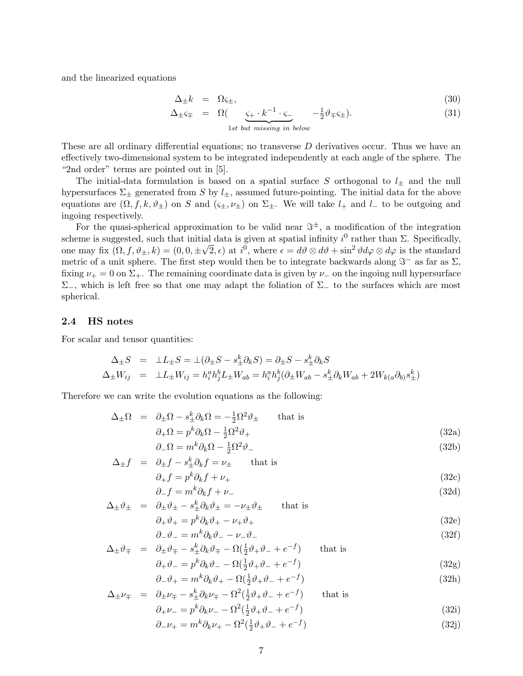and the linearized equations

$$
\Delta_{\pm}k = \Omega \varsigma_{\pm},\tag{30}
$$

$$
\Delta_{\pm} \varsigma_{\mp} = \Omega \left( \underbrace{\varsigma_{+} \cdot k^{-1} \cdot \varsigma_{-}}_{\sim} -\frac{1}{2} \vartheta_{\mp} \varsigma_{\pm} \right). \tag{31}
$$

1st but missing in below

These are all ordinary differential equations; no transverse D derivatives occur. Thus we have an effectively two-dimensional system to be integrated independently at each angle of the sphere. The "2nd order" terms are pointed out in [5].

The initial-data formulation is based on a spatial surface S orthogonal to  $l_{\pm}$  and the null hypersurfaces  $\Sigma_{\pm}$  generated from S by  $l_{\pm}$ , assumed future-pointing. The initial data for the above equations are  $(\Omega, f, k, \vartheta_{\pm})$  on S and  $(\varsigma_{\pm}, \nu_{\pm})$  on  $\Sigma_{\pm}$ . We will take  $l_+$  and  $l_-$  to be outgoing and ingoing respectively.

For the quasi-spherical approximation to be valid near  $\Im^{\pm}$ , a modification of the integration scheme is suggested, such that initial data is given at spatial infinity  $i^0$  rather than  $\Sigma$ . Specifically, scheme is suggested, such that finitial data is given at spatial finitity  $i^{\circ}$  rather than  $\Delta$ . Specifically, one may fix  $(\Omega, f, \vartheta_{\pm}, k) = (0, 0, \pm \sqrt{2}, \epsilon)$  at  $i^0$ , where  $\epsilon = d\vartheta \otimes d\vartheta + \sin^2 \vartheta d\varphi \otimes d\varphi$  is the st metric of a unit sphere. The first step would then be to integrate backwards along  $\Im^{-}$  as far as  $\Sigma$ , fixing  $\nu_+ = 0$  on  $\Sigma_+$ . The remaining coordinate data is given by  $\nu_-$  on the ingoing null hypersurface  $Σ_$ , which is left free so that one may adapt the foliation of  $Σ_$  to the surfaces which are most spherical.

#### **2.4 HS notes**

For scalar and tensor quantities:

$$
\Delta_{\pm}S = \pm L_{\pm}S = \pm (\partial_{\pm}S - s_{\pm}^k \partial_k S) = \partial_{\pm}S - s_{\pm}^k \partial_k S
$$
  

$$
\Delta_{\pm}W_{ij} = \pm L_{\pm}W_{ij} = h_i^a h_j^b L_{\pm}W_{ab} = h_i^a h_j^b (\partial_{\pm}W_{ab} - s_{\pm}^k \partial_k W_{ab} + 2W_{k(a}\partial_{b)}s_{\pm}^k)
$$

Therefore we can write the evolution equations as the following:

$$
\Delta_{\pm}\Omega = \partial_{\pm}\Omega - s_{\pm}^{k}\partial_{k}\Omega = -\frac{1}{2}\Omega^{2}\vartheta_{\pm} \quad \text{that is}
$$
  

$$
\partial_{+}\Omega = p^{k}\partial_{k}\Omega - \frac{1}{2}\Omega^{2}\vartheta_{+}
$$
 (32a)

$$
\partial_{-}\Omega = m^{k}\partial_{k}\Omega - \frac{1}{2}\Omega^{2}\vartheta_{-}
$$
\n(32b)

$$
\Delta_{\pm} f = \partial_{\pm} f - s_{\pm}^{k} \partial_{k} f = \nu_{\pm} \quad \text{that is}
$$
  

$$
\partial_{+} f = p^{k} \partial_{k} f + \nu_{+}
$$
 (32c)

$$
\partial_{-} f = m^{k} \partial_{k} f + \nu_{-} \tag{32d}
$$

$$
\Delta_{\pm}\vartheta_{\pm} = \partial_{\pm}\vartheta_{\pm} - s_{\pm}^{k}\partial_{k}\vartheta_{\pm} = -\nu_{\pm}\vartheta_{\pm} \quad \text{that is}
$$
  

$$
\partial_{+}\vartheta_{+} = p^{k}\partial_{k}\vartheta_{+} - \nu_{+}\vartheta_{+}
$$
 (32e)

$$
\partial_{-}\vartheta_{-} = m^{k}\partial_{k}\vartheta_{-} - \nu_{-}\vartheta_{-} \tag{32f}
$$

$$
\Delta_{\pm}\vartheta_{\mp} = \partial_{\pm}\vartheta_{\mp} - s_{\pm}^{k}\partial_{k}\vartheta_{\mp} - \Omega(\frac{1}{2}\vartheta_{+}\vartheta_{-} + e^{-f}) \quad \text{that is}
$$
  

$$
\partial_{+}\vartheta_{-} = p^{k}\partial_{k}\vartheta_{-} - \Omega(\frac{1}{2}\vartheta_{+}\vartheta_{-} + e^{-f}) \quad (32g)
$$

$$
\partial_{-}\vartheta_{+} = m^{k}\partial_{k}\vartheta_{+} - \Omega(\frac{1}{2}\vartheta_{+}\vartheta_{-} + e^{-f})
$$
\n(32h)

$$
\Delta_{\pm} \nu_{\mp} = \partial_{\pm} \nu_{\mp} - s_{\pm}^k \partial_k \nu_{\mp} - \Omega^2 (\frac{1}{2} \vartheta_{+} \vartheta_{-} + e^{-f}) \quad \text{that is}
$$

$$
\partial_+\nu_- = p^k \partial_k \nu_- - \Omega^2(\frac{1}{2}\vartheta_+\vartheta_- + e^{-f})\tag{32i}
$$

$$
\partial_- \nu_+ = m^k \partial_k \nu_+ - \Omega^2 (\frac{1}{2} \vartheta_+ \vartheta_- + e^{-f}) \tag{32}
$$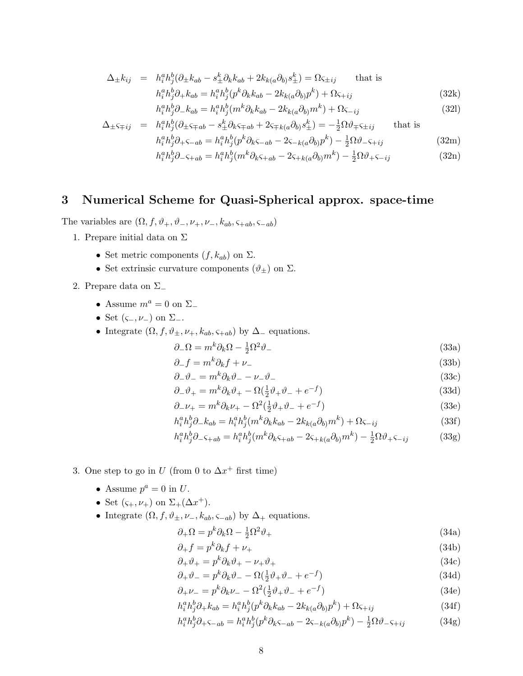$$
\Delta_{\pm}k_{ij} = h_i^a h_j^b (\partial_{\pm}k_{ab} - s_{\pm}^k \partial_k k_{ab} + 2k_{k(a}\partial_{b)}s_{\pm}^k) = \Omega_{\zeta \pm ij} \text{ that is}
$$
  
\n
$$
h_i^a h_j^b \partial_{\pm}k_{ab} = h_i^a h_j^b (p^k \partial_k k_{ab} - 2k_{k(a}\partial_{b)}p^k) + \Omega_{\zeta + ij}
$$
 (32k)

$$
h_i^a h_j^b \partial_- k_{ab} = h_i^a h_j^b (m^k \partial_k k_{ab} - 2k_{k(a} \partial_b) m^k) + \Omega \zeta_{-ij}
$$
\n
$$
(321)
$$

$$
\Delta_{\pm} \varsigma_{\mp ij} = h_i^a h_j^b (\partial_{\pm} \varsigma_{\mp ab} - s_{\pm}^k \partial_k \varsigma_{\mp ab} + 2 \varsigma_{\mp k(a} \partial_{b)} s_{\pm}^k) = -\frac{1}{2} \Omega \vartheta_{\mp} \varsigma_{\pm ij} \quad \text{that is}
$$

$$
h_i^a h_j^b \partial_{+\zeta - ab} = h_i^a h_j^b (p^k \partial_k \varsigma_{-ab} - 2 \varsigma_{-k(a} \partial_{b)} p^k) - \frac{1}{2} \Omega \vartheta_{-\zeta + ij} \tag{32m}
$$

$$
h_i^a h_j^b \partial_{+\zeta - ab} = h_i^a h_j^b (p^k \partial_k \zeta_{-ab} - 2\zeta_{-k(a} \partial_b) p^k) - \frac{1}{2} \Omega \vartheta_{-\zeta + ij}
$$
 (32m)

$$
h_i^a h_j^b \partial_- \varsigma_{+ab} = h_i^a h_j^b (m^k \partial_k \varsigma_{+ab} - 2\varsigma_{+k(a} \partial_b) m^k) - \frac{1}{2} \Omega \vartheta_+ \varsigma_{-ij}
$$
(32n)

## **3 Numerical Scheme for Quasi-Spherical approx. space-time**

The variables are  $(\Omega, f, \vartheta_+, \vartheta_-, \nu_+, \nu_-, k_{ab}, \varsigma_{+ab}, \varsigma_{-ab})$ 

- 1. Prepare initial data on  $\Sigma$ 
	- Set metric components  $(f, k_{ab})$  on  $\Sigma$ .
	- Set extrinsic curvature components  $(\vartheta_\pm)$  on  $\Sigma$ .

2. Prepare data on Σ<sup>−</sup>

- Assume  $m^a = 0$  on  $\Sigma_-$
- Set  $(\varsigma_-, \nu_-)$  on  $\Sigma_-$ .
- Integrate  $(\Omega, f, \vartheta_{\pm}, \nu_{+}, k_{ab}, \varsigma_{+ab})$  by  $\Delta_{-}$  equations.

$$
\partial_{-}\Omega = m^{k}\partial_{k}\Omega - \frac{1}{2}\Omega^{2}\vartheta_{-}
$$
\n(33a)

$$
\partial_{-} f = m^{k} \partial_{k} f + \nu_{-} \tag{33b}
$$

$$
\partial_- \vartheta_- = m^k \partial_k \vartheta_- - \nu_- \vartheta_- \tag{33c}
$$

$$
\partial_{-}\vartheta_{+} = m^{k}\partial_{k}\vartheta_{+} - \Omega(\frac{1}{2}\vartheta_{+}\vartheta_{-} + e^{-f})
$$
\n(33d)

$$
\partial_- \nu_+ = m^k \partial_k \nu_+ - \Omega^2 (\frac{1}{2} \vartheta_+ \vartheta_- + e^{-f}) \tag{33e}
$$

$$
h_i^a h_j^b \partial_- k_{ab} = h_i^a h_j^b (m^k \partial_k k_{ab} - 2k_{k(a} \partial_{b)} m^k) + \Omega \varsigma_{-ij}
$$
\n(33f)

$$
h_i^a h_j^b \partial_- \varsigma_{+ab} = h_i^a h_j^b (m^k \partial_k \varsigma_{+ab} - 2\varsigma_{+k(a} \partial_b) m^k) - \frac{1}{2} \Omega \partial_+ \varsigma_{-ij}
$$
(33g)

- 3. One step to go in U (from 0 to  $\Delta x^+$  first time)
	- Assume  $p^a = 0$  in U.
	- Set  $(\varsigma_+,\nu_+)$  on  $\Sigma_+(\Delta x^+)$ .
	- Integrate  $(\Omega, f, \vartheta_{\pm}, \nu_-, k_{ab}, \varsigma_{-ab})$  by  $\Delta_+$  equations.

$$
\partial_{+}\Omega = p^{k}\partial_{k}\Omega - \frac{1}{2}\Omega^{2}\vartheta_{+}
$$
\n(34a)

$$
\partial_{+}f = p^{k}\partial_{k}f + \nu_{+} \tag{34b}
$$

$$
\partial_+ \vartheta_+ = p^k \partial_k \vartheta_+ - \nu_+ \vartheta_+ \tag{34c}
$$

$$
\partial_{+}\partial_{-} = p^{k}\partial_{k}\partial_{-} - \Omega(\frac{1}{2}\partial_{+}\partial_{-} + e^{-f})
$$
\n(34d)\n  
\n
$$
\partial_{-}\nu_{-} = p^{k}\partial_{k}\nu_{-} - \Omega(\frac{1}{2}\partial_{+}\partial_{-} + e^{-f})
$$
\n(34d)

$$
\partial_+\nu_- = p^k \partial_k \nu_- - \Omega^2(\frac{1}{2}\vartheta_+\vartheta_- + e^{-f})\tag{34e}
$$

$$
h_i^a h_j^b \partial_+ k_{ab} = h_i^a h_j^b (p^k \partial_k k_{ab} - 2k_{k(a} \partial_b) p^k) + \Omega \varsigma_{+ij}
$$
\n(34f)

$$
h_i^a h_j^b \partial_+ \varsigma_{-ab} = h_i^a h_j^b (p^k \partial_k \varsigma_{-ab} - 2\varsigma_{-k(a} \partial_{b)} p^k) - \frac{1}{2} \Omega \vartheta_- \varsigma_{+ij}
$$
(34g)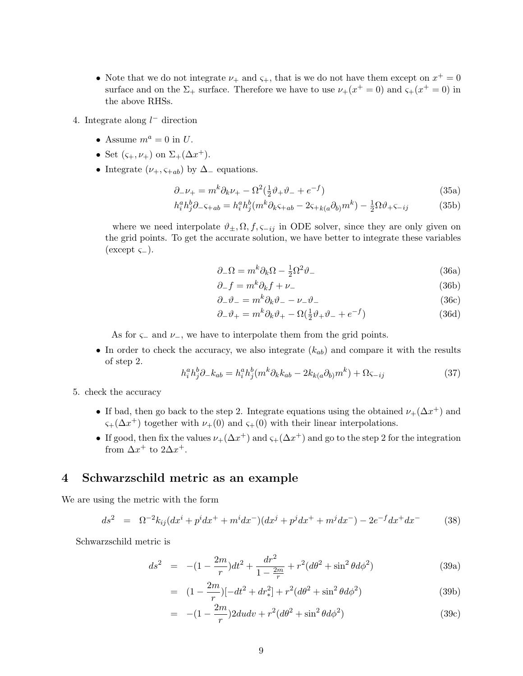- Note that we do not integrate  $\nu_+$  and  $\varsigma_+$ , that is we do not have them except on  $x^+=0$ surface and on the  $\Sigma_{+}$  surface. Therefore we have to use  $\nu_{+}(x^{+}=0)$  and  $\varsigma_{+}(x^{+}=0)$  in the above RHSs.
- 4. Integrate along  $l^-$  direction
	- Assume  $m^a = 0$  in U.
	- Set  $(\varsigma_+,\nu_+)$  on  $\Sigma_+(\Delta x^+)$ .
	- Integrate  $(\nu_+, \varsigma_{+ab})$  by  $\Delta_-$  equations.

$$
\partial_- \nu_+ = m^k \partial_k \nu_+ - \Omega^2 (\frac{1}{2} \vartheta_+ \vartheta_- + e^{-f}) \tag{35a}
$$

$$
h_i^a h_j^b \partial_- \varsigma_{+ab} = h_i^a h_j^b (m^k \partial_k \varsigma_{+ab} - 2\varsigma_{+k(a} \partial_b) m^k) - \frac{1}{2} \Omega \vartheta_+ \varsigma_{-ij}
$$
(35b)

where we need interpolate  $\vartheta_{\pm}, \Omega, f, \varsigma_{-ij}$  in ODE solver, since they are only given on the grid points. To get the accurate solution, we have better to integrate these variables  $(except \varsigma_$ ).

$$
\partial_{-}\Omega = m^{k}\partial_{k}\Omega - \frac{1}{2}\Omega^{2}\vartheta_{-}
$$
\n(36a)

$$
\partial_{-} f = m^{k} \partial_{k} f + \nu_{-} \tag{36b}
$$

$$
\partial_- \vartheta_- = m^k \partial_k \vartheta_- - \nu_- \vartheta_- \tag{36c}
$$

$$
\partial_{-}\vartheta_{+} = m^{k}\partial_{k}\vartheta_{+} - \Omega(\frac{1}{2}\vartheta_{+}\vartheta_{-} + e^{-f})
$$
\n(36d)

As for  $\varsigma$ − and  $\nu$ −, we have to interpolate them from the grid points.

• In order to check the accuracy, we also integrate  $(k_{ab})$  and compare it with the results of step 2.

$$
h_i^a h_j^b \partial_- k_{ab} = h_i^a h_j^b (m^k \partial_k k_{ab} - 2k_{k(a} \partial_{b)} m^k) + \Omega \varsigma_{-ij}
$$
\n(37)

- 5. check the accuracy
	- If bad, then go back to the step 2. Integrate equations using the obtained  $\nu_+(\Delta x^+)$  and  $\zeta_+(\Delta x^+)$  together with  $\nu_+(0)$  and  $\zeta_+(0)$  with their linear interpolations.
	- If good, then fix the values  $\nu_+(\Delta x^+)$  and  $\varsigma_+(\Delta x^+)$  and go to the step 2 for the integration from  $\Delta x^+$  to  $2\Delta x^+$ .

## **4 Schwarzschild metric as an example**

We are using the metric with the form

$$
ds^{2} = \Omega^{-2}k_{ij}(dx^{i} + p^{i}dx^{+} + m^{i}dx^{-})(dx^{j} + p^{j}dx^{+} + m^{j}dx^{-}) - 2e^{-f}dx^{+}dx^{-}
$$
 (38)

Schwarzschild metric is

$$
ds^{2} = -(1 - \frac{2m}{r})dt^{2} + \frac{dr^{2}}{1 - \frac{2m}{r}} + r^{2}(d\theta^{2} + \sin^{2}\theta d\phi^{2})
$$
 (39a)

$$
= (1 - \frac{2m}{r})[-dt^2 + dr_*^2] + r^2(d\theta^2 + \sin^2\theta d\phi^2)
$$
 (39b)

$$
= -(1 - \frac{2m}{r})2dudv + r^2(d\theta^2 + \sin^2\theta d\phi^2)
$$
 (39c)